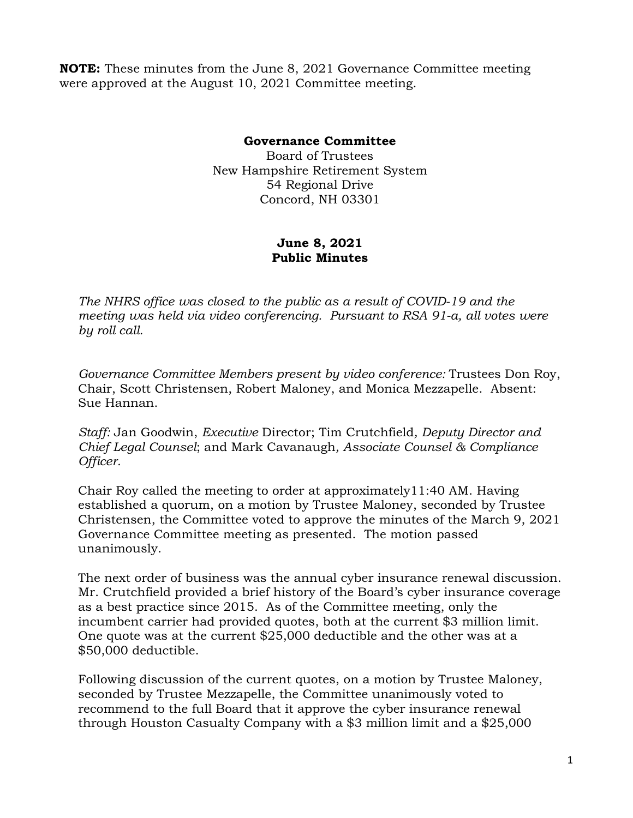**NOTE:** These minutes from the June 8, 2021 Governance Committee meeting were approved at the August 10, 2021 Committee meeting.

## **Governance Committee**

Board of Trustees New Hampshire Retirement System 54 Regional Drive Concord, NH 03301

## **June 8, 2021 Public Minutes**

*The NHRS office was closed to the public as a result of COVID-19 and the meeting was held via video conferencing. Pursuant to RSA 91-a, all votes were by roll call.*

*Governance Committee Members present by video conference:* Trustees Don Roy, Chair, Scott Christensen, Robert Maloney, and Monica Mezzapelle. Absent: Sue Hannan.

*Staff:* Jan Goodwin, *Executive* Director; Tim Crutchfield*, Deputy Director and Chief Legal Counsel*; and Mark Cavanaugh*, Associate Counsel & Compliance Officer.* 

Chair Roy called the meeting to order at approximately11:40 AM. Having established a quorum, on a motion by Trustee Maloney, seconded by Trustee Christensen, the Committee voted to approve the minutes of the March 9, 2021 Governance Committee meeting as presented. The motion passed unanimously.

The next order of business was the annual cyber insurance renewal discussion. Mr. Crutchfield provided a brief history of the Board's cyber insurance coverage as a best practice since 2015. As of the Committee meeting, only the incumbent carrier had provided quotes, both at the current \$3 million limit. One quote was at the current \$25,000 deductible and the other was at a \$50,000 deductible.

Following discussion of the current quotes, on a motion by Trustee Maloney, seconded by Trustee Mezzapelle, the Committee unanimously voted to recommend to the full Board that it approve the cyber insurance renewal through Houston Casualty Company with a \$3 million limit and a \$25,000